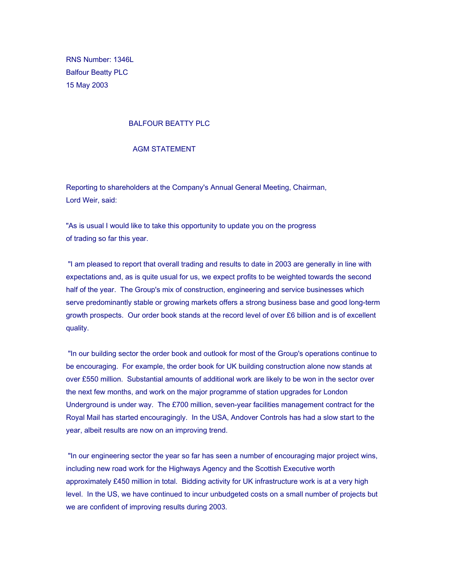RNS Number: 1346L Balfour Beatty PLC 15 May 2003

## BALFOUR BEATTY PLC

## AGM STATEMENT

Reporting to shareholders at the Company's Annual General Meeting, Chairman, Lord Weir, said:

"As is usual I would like to take this opportunity to update you on the progress of trading so far this year.

 "I am pleased to report that overall trading and results to date in 2003 are generally in line with expectations and, as is quite usual for us, we expect profits to be weighted towards the second half of the year. The Group's mix of construction, engineering and service businesses which serve predominantly stable or growing markets offers a strong business base and good long-term growth prospects. Our order book stands at the record level of over £6 billion and is of excellent quality.

 "In our building sector the order book and outlook for most of the Group's operations continue to be encouraging. For example, the order book for UK building construction alone now stands at over £550 million. Substantial amounts of additional work are likely to be won in the sector over the next few months, and work on the major programme of station upgrades for London Underground is under way. The £700 million, seven-year facilities management contract for the Royal Mail has started encouragingly. In the USA, Andover Controls has had a slow start to the year, albeit results are now on an improving trend.

 "In our engineering sector the year so far has seen a number of encouraging major project wins, including new road work for the Highways Agency and the Scottish Executive worth approximately £450 million in total. Bidding activity for UK infrastructure work is at a very high level. In the US, we have continued to incur unbudgeted costs on a small number of projects but we are confident of improving results during 2003.